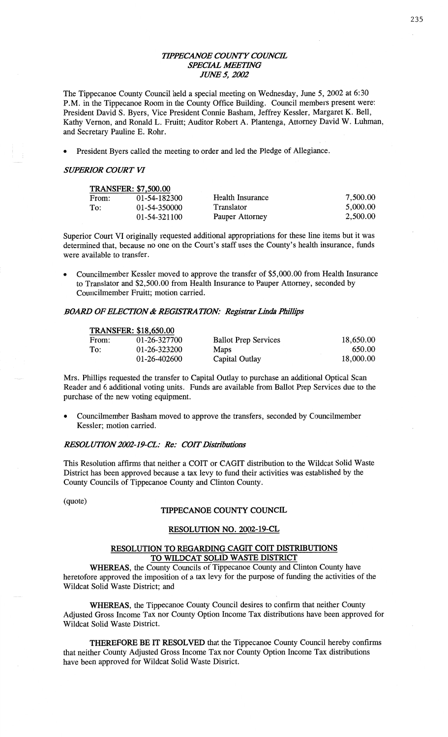## *WPECANOE COWTY COWCE SPECIAL WETHVG JIM/F* 5, *2002*

The Tippecanoe County Council held a special meeting on Wednesday, June 5, 2002 at 6:30 **P.M.** in the Tippecanoe **Room** in the County Office Building. **Council** members present **were:**  President David S. Byers, Vice President **Connie** Basham, Jeffrey Kessler, Margaret K. Bell, Kathy Vernon, and **Ronald** L. Fruitt; **Auditor** Robert A. Plantenga, Attorney David W. **Luhman,**  and Secretary **Pauline** E. Rohr.

*0* President Byers **called** the meeting to order and led the Pledge of **Allegiance.** 

#### *SUPERIOR COURT* VI

| <b>TRANSFER: \$7,500.00</b> |              |                  |          |  |
|-----------------------------|--------------|------------------|----------|--|
| From:                       | 01-54-182300 | Health Insurance | 7,500.00 |  |
| To:                         | 01-54-350000 | Translator       | 5,000.00 |  |
|                             | 01-54-321100 | Pauper Attorney  | 2,500.00 |  |

Superior Court VI originally requested **additional** appropriations for these **line items** but it was determined **that,** because no one on the **Court's** staff uses the County's health **insurance, funds**  were available to **transfer.** 

**0 Councilmember** Kessler **moved** to approve the transfer of \$5,000.00 **from** Health **Insurance**  to **Translator** and \$2,500.00 **from Health Insurance** to Pauper Attorney, **seconded** by Councilmember Pruitt; **motion** carried.

#### *BOARD OF ELECTION & REGISTRATION: Registrar Linda Phillips*

| <b>TRANSFER: \$18,650.00</b> |              |                             |           |  |
|------------------------------|--------------|-----------------------------|-----------|--|
| From:                        | 01-26-327700 | <b>Ballot Prep Services</b> | 18,650.00 |  |
| To:                          | 01-26-323200 | <b>Maps</b>                 | 650.00    |  |
|                              | 01-26-402600 | Capital Outlay              | 18,000.00 |  |

Mrs. Phillips requested the transfer to Capital Outlay to purchase an additional Optical Scan Reader and 6 **additional** voting **units.** Funds are available from **Ballot** Prep Services due to the **purchase** of the new voting equipment.

**0 Councihnember** Basham moved to approve the transfers, seconded by **Councilmember**  Kessler; motion **carried.** 

#### *RESOLUHON2002-19-CL:* Re: *COIT Distributions*

**This** Resolution **affirms that** neither **a** COIT or **CAGIT** distribution to the Wildcat Solid Waste District has been approved because **a** tax levy to **fund** their activities was established by the County **Councils** of Tippecanoe County and Clinton **County.** 

(quote)

## **TIPPECANOE COUNTY COUNCIL**

#### **RESOLUTION** NO. **2002-19-CL**

## **RESOLUTION** TO REGARDING **CAGIT COIT DISTRIBUTIONS**  TO **WILDCAT SOLID** WASTE **DISTRICT**

**WHEREAS,** the County Councils of Tippecanoe County and **Clinton** County have heretofore approved the imposition of a tax levy for the purpose of funding the activities of the Wildcat Solid Waste District; and

**WHEREAS,** the Tippecanoe **County** Council desires to confirm that **neither** County Adjusted Gross Income Tax nor **County** Option Income Tax **distributions** have been approved for Wildcat **Solid** Waste District.

**THEREFORE** BE IT **RESOLVED** that the **Tippecanoe** County Council hereby confirms that neither County Adjusted Gross **Income** Tax nor County **Option** Income Tax distributions **have** been approved for Wildcat Solid Waste District.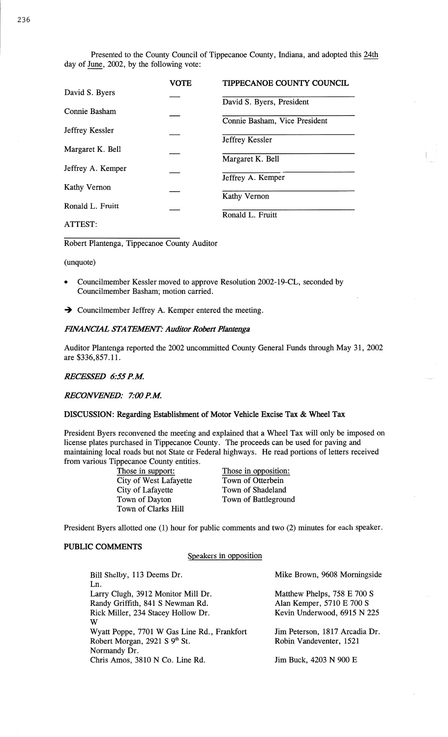Presented to the County Council of Tippecanoe County, Indiana, and adopted this 24th day of June, 2002, by the following vote:

|                     | <b>VOTE</b> | <b>TIPPECANOE COUNTY COUNCIL</b> |
|---------------------|-------------|----------------------------------|
| David S. Byers      |             | David S. Byers, President        |
| Connie Basham       |             |                                  |
| Jeffrey Kessler     |             | Connie Basham, Vice President    |
| Margaret K. Bell    |             | Jeffrey Kessler                  |
|                     |             | Margaret K. Bell                 |
| Jeffrey A. Kemper   |             | Jeffrey A. Kemper                |
| <b>Kathy Vernon</b> |             |                                  |
| Ronald L. Fruitt    |             | <b>Kathy Vernon</b>              |
| ATTEST:             |             | Ronald L. Fruitt                 |

**Robert** Plantenga, **Tippecanoe** County Auditor

(unquote)

- **0** Councilmember Kessler moved to approve **Resolution** 2002-19-CL, seconded by Councilmember **Basham;** motion carried.
- -) Councilmember Jeffrey A. Kemper entered the **meeting.**

## *FHVANC'IAL* STA *TEAENT: Auditor Robezt Plantenga*

**Auditor** Plantenga reported the 2002 uncommitted County General Funds through May 31, 2002 are \$336,857.11.

## *RECESSED 6:55* RM

*RECONVENED: 7:00* RM

#### **DISCUSSION:** Regarding **Establishment** of Motor **Vehicle Excise** Tax **&** Wheel Tax

President Byers reconvened the meeting and explained **that** a Wheel Tax will only be imposed on license plates **purchased** in Tippecanoe County. The proceeds can be used for **paving** and maintaining local roads but not State or Federal highways. He read portions of letters received from various Tippecanoe County entities.

> **Those in support:** Those in opposition: City of West Lafayette Town of Otterbein<br>City of Lafayette Town of Shadeland City of Lafayette Town of Shadeland<br>Town of Dayton Town of Battlegrous Town of Clarks Hill

Town of Battleground

President Byers allotted one (1) hour for public comments and two (2) minutes for each speaker.

#### **PUBLIC COMMENTS**

**Speakers** in opposition

| Bill Shelby, 113 Deems Dr.                  | Mike Brown, 9608 Morningside   |  |
|---------------------------------------------|--------------------------------|--|
| Ln.                                         |                                |  |
| Larry Clugh, 3912 Monitor Mill Dr.          | Matthew Phelps, 758 E 700 S    |  |
| Randy Griffith, 841 S Newman Rd.            | Alan Kemper, 5710 E 700 S      |  |
| Rick Miller, 234 Stacey Hollow Dr.          | Kevin Underwood, 6915 N 225    |  |
| W                                           |                                |  |
| Wyatt Poppe, 7701 W Gas Line Rd., Frankfort | Jim Peterson, 1817 Arcadia Dr. |  |
| Robert Morgan, 2921 S 9th St.               | Robin Vandeventer, 1521        |  |
| Normandy Dr.                                |                                |  |
| Chris Amos, 3810 N Co. Line Rd.             | Jim Buck, 4203 N 900 E         |  |
|                                             |                                |  |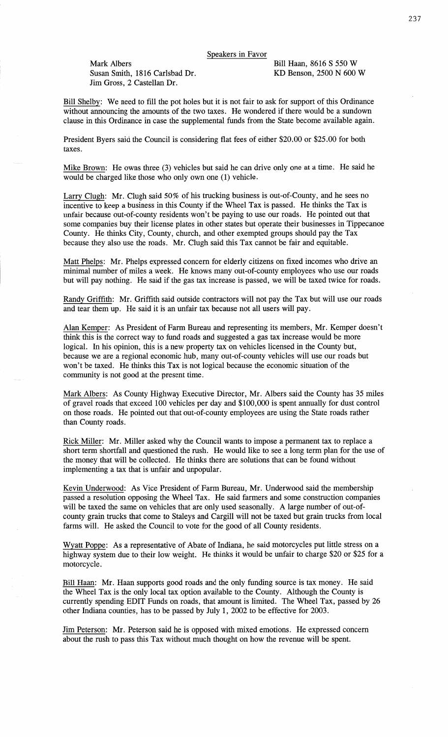Speakers in Favor

**Mark Albers** Bill Haan, 8616 S 550 W<br>Susan Smith, 1816 Carlsbad Dr. KD Benson, 2500 N 600 W Susan Smith, 1816 Carlsbad Dr. Jim Gross, 2 Castellan Dr.

Bill Shelby: We need to fill the pot holes but it is not fair to ask for support of this Ordinance without announcing the **amounts** of the two taxes. He wondered if there would be a sundown clause in this Ordinance in case the supplemental funds from the State become available again.

President Byers said the Council is considering flat fees of either \$20.00 or \$25.00 for both taxes.

Mike Brown: He owns three (3) vehicles but **said** he can drive only one at **a** time. He said he would be charged like those who only own one (1) vehicle.

Larry Clugh: Mr. Clugh said 50% of his trucking business is out-of-County, and he sees no incentive to **keep** a business in this County if the Wheel Tax is **passed.** He thinks the Tax is unfair because out-of-county residents **won't** be paying to use our roads. He pointed out that some companies buy their license plates in other states but operate their businesses in Tippecanoe County. He **thinks** City, County, church, and other exempted groups should pay the Tax because they also use the roads. Mr. Clugh said this Tax cannot be fair and equitable.

Matt **Phel:** Mr. Phelps expressed concern for elderly **citizens** on fixed incomes who drive an **minimal** number of miles **a** week. He knows many out-of-county employees who use our roads but will pay **nothing.** He said if the gas tax increase is passed, we will be taxed twice for roads.

Randy Griffith: Mr. Griffith **said** outside contractors will not pay the Tax but will use our roads and tear them up. He **said** it is an unfair tax because not all users will pay.

**Alan** Kemger: As President of Farm Bureau and representing its members, Mr. Kemper **doesn't think** this is the correct way to fund roads and suggested a gas tax increase would be more **logical.** In his **opinion,** this is **a** new property tax on vehicles licensed in the County but, because we are a regional economic hub, many out-of-county vehicles will use our roads but won't be **taxed.** He **thinks** this Tax is not logical because the economic situation of the community is not good at the present time.

Mark Albers: As County Highway Executive Director, Mr. Albers said the County has 35 **miles**  of gravel roads that exceed 100 vehicles per day and \$100,000 is spent annually for dust control on those roads. He pointed out that out-of-county employees are using the State roads rather than County **roads.** 

Rick Miller: Mr. Miller **asked** why the Council wants to impose a permanent tax to replace a short term shortfall and questioned the rush. He would like to see along term **plan** for the use of the money that will be collected. He thinks there are solutions that can be found without implementing **a** tax that is unfair and unpopular.

**Kevin** Underwood: As Vice President of Farm Bureau, Mr. Underwood said the membership passed a resolution opposing the Wheel Tax. He **said** farmers and some construction companies will be taxed the same on vehicles that are only used seasonally. A large number of out-ofcounty grain **trucks** that come to Staleys and Cargill will not be taxed but grain trucks from local farms will. He asked the Council to vote for the good of all County **residents.** 

Wyatt Popge: As **a** representative of Abate of **Indiana,** he **said** motorcycles put little stress on **a**  highway system due to their low weight. He thinks it would be unfair to charge \$20 or \$25 for **a motorcycle.** 

Bill Haan: Mr. **Haan** supports good roads and the only funding source is tax money. He said the Wheel Tax is the only local tax **option** available to the County. Although the County is currently spending EDIT Funds on roads, that amount is limited. The Wheel **Tax,** passed by 26 other **Indiana** counties, has to be passed by July 1, 2002 to be effective for 2003.

Jim Peterson: Mr. Peterson said he is opposed with **mixed** emotions. He **expressed** concern about the rush to pass this Tax without much thought on how the revenue will be spent.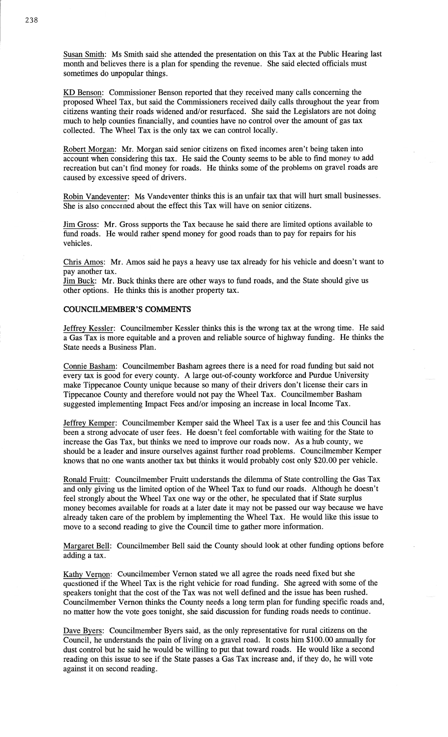**Susan** Smith: Ms **Smith said** she attended the **presentation** on this Tax at the Public **Hearing last**  month and believes there is a plan for spending the revenue. She said elected officials must sometimes do unpopular things.

KD **Benson:** Commissioner Benson reported that they received **many** calls concerning the proposed Wheel Tax, but said the **Commissioners** received daily calls throughout the year from citizens wanting their roads widened and/or resurfaced. She said the Legislators are not doing much to **help** counties financially, and counties **have** no control over the amount of gas tax collected. The Wheel Tax is the only tax we can control locally.

Robert Morgan: Mr. Morgan **said** senior citizens on fixed incomes aren't being **taken** into account when considering this tax. He **said** the County **seems** to be able to find money to add recreation but can't find money for roads. He thinks some of the problems on gravel **roads** are caused by excessive speed of drivers.

Robin Vandeventer: Ms Vandeventer thinks **this** is an unfair tax that will hurt small businesses. She is **also** concerned about the effect this Tax will have on senior **citizens.** 

Jim Gross: Mr. **Gross** supports the Tax because he said **there** are limited options available to fund roads. He would rather **spend** money for good roads **than** to pay for repairs for his vehicles.

Chris **Amos:** Mr. Amos said he pays a heavy use tax already for his vehicle and doesn't want to pay another **tax.** 

Jim Buck: Mr. Buck thinks there are other ways to **fund** roads, and the **State** should give us other options. He thinks this is another property tax.

#### **COUNCILMEMBER'S COMMENTS**

Jeffrey Kessler: Councilmember Kessler thinks **this** is the wrong tax at the wrong time. He **said <sup>a</sup>**Gas Tax is more equitable and **a** proven and reliable source of highway funding. He **thinks** the State needs a Business Plan.

Connie Basham: Councilmember **Basham** agrees there is **a** need for road funding but said not every tax is good for every county. A large out-of-county workforce and Purdue University make Tippecanoe County unique because so many of their drivers **don't** license their cars in Tippecanoe County and therefore would not pay the Wheel **Tax.** Councilmember Basham suggested implementing Impact Fees **and/or imposing** an increase in local Income **Tax.** 

Jeffrey Kemper: Councilmember Kemper said the Wheel Tax is **a** user fee and this Council has been **a** strong advocate of user fees. He **doesn't** feel comfortable with waiting for the State to increase the Gas Tax, but thinks we need to improve our roads now. As **a** hub county, we should be **a** leader and insure ourselves against further road problems. Councilmember Kemper knows that no one wants another tax but thinks it would probably cost only \$20.00 per vehicle.

Ronald Fruitt: Councilmember Fruitt understands the dilemma of **State** controlling the Gas Tax and only giving us the limited **option** of the Wheel Tax to **fund** our **roads.** Although he **doesn't**  feel strongly about the Wheel Tax one way or the other, he speculated that if State **surplus**  money becomes available for roads at a later date it may not be passed our way because we **have**  already taken care of the problem by implementing the Wheel Tax. He would like this issue to move to a second reading to give the Council time to gather more information.

Margaret Bell: Councilmember Bell said the County should look at other funding **options** before adding **a** tax.

Kathy Vernon: Councilmember **Vernon** stated we all agree the roads need fixed but she questioned if the Wheel Tax is the right vehicle for road funding. She agreed with some of the speakers tonight that the cost of the Tax was not well defined and the issue has been rushed. Councilmember Vernon thinks the County needs a long **term** plan for funding specific roads and, no matter how the vote goes tonight, she said discussion for funding roads needs to continue.

Dave Byers: Councilmember Byers **said,** as the only representative for rural citizens on the Council, he understands the pain of living on a gravel **road.** It costs him **\$100.00** annually for dust control but he **said** he would be willing to put that toward **roads.** He would like a second reading on this issue to see if the State **passes** a Gas Tax increase **and,** if they do, he will vote against it on second reading.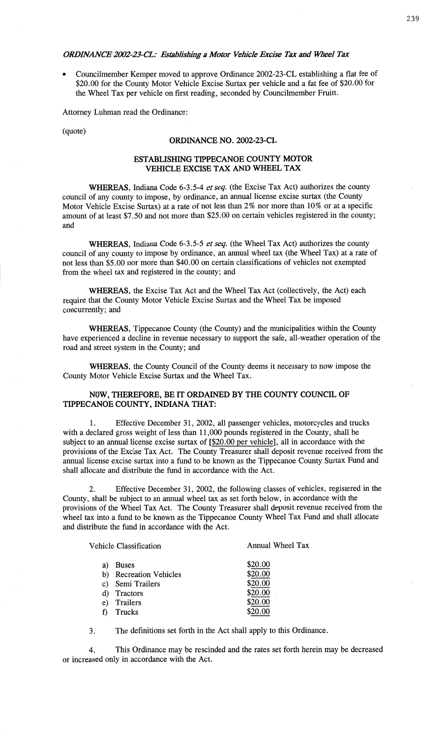#### *ORDINANCE 2002-23-CL: Establishing a Motor Vehicle Excise Tax and Wheel Tax*

**0** Councilmember Kemper moved to approve Ordinance 2002-23-CL establishing a flat fee of \$20.00 for the County Motor Vehicle Excise Surtax per vehicle and **a** fat fee of \$20.00 for the Wheel Tax per vehicle on first reading, seconded by **Councilmember** Fruitt.

**Attorney Luhman** read the Ordinance:

(quote)

## **ORDINANCE** NO. **2002-23-CL**

## **ESTABLISHING TIPPECANOE COUNTY MOTOR VEHICLE EXCISE** TAX AND **WHEEL** TAX

WHEREAS, **Indiana Code** 6-3.5-4 et *seq.* (the **Excise** Tax Act) authorizes the county council of any county to **impose,** by ordinance, an **annual** license excise surtax (the County Motor Vehicle Excise Surtax) at a rate of not less than 2% nor more **than** 10% or at **a specific**  amount of at least \$7.50 and not more **than** \$25.00 on certain vehicles registered in the county; and

**WHEREAS, Indiana** Code **6-3.5-5** et *seq.* (the Wheel Tax Act) authorizes the county council of any county to impose by ordinance, an annual Wheel tax **(the Wheel Tax)** at a rate of not less than \$5 .00 nor more than \$40.00 on certain classifications of **vehicles** not **exempted**  from the wheel tax and registered in the county; and

**WHEREAS,** the **Excise** Tax Act and the Wheel Tax Act (collectively, the Act) **each**  require **that** the County **Motor Vehicle** Excise **Surtax** and the Wheel Tax be **imposed**  concurrently; and

**WHEREAS,** Tippecanoe **County** (the County) and the **municipalities within** the County have **experienced a** decline in revenue necessary to support the **safe,** all-weather operation of the **road** and street system in the County; and

**WHEREAS,** the County Council of the County deems it **necessary** to now **impose** the County Motor **Vehicle** Excise **Surtax** and the Wheel **Tax.** 

## **NOW, THEREFORE,** BE IT **ORDAINED** BY THE **COUNTY COUNCIL** OF **TIPPECANOE COUNTY, INDIANA THAT:**

1. **Effective** December 31, 2002, all passenger vehicles, motorcycles and trucks with **a** declared gross weight of less than **11,000 pounds** registered in the County, **shall** be subject to an **annual** license excise surtax of **[\$20.00** per vehiclel, all in **accordance** with the provisions of the Excise Tax Act. The County Treasurer shall deposit revenue received from the **annual** license excise **surtax** into a **fund** to be known as the Tippecanoe **County Surtax** Fund and **shall** allocate and distribute the fund 1n **accordance** with the Act.

2. Effective December 31, 2002, the following classes of **vehicles,** registered in the County, **shall** be subject to an **annual** wheel tax as set forth below, in accordance with the provisions of the Wheel Tax **Act.** The County Treasurer shall deposit revenue received from the wheel tax into a fund to be known as the **Tippecanoe** County Wheel Tax Fund and **shall** allocate and distribute the fund in accordance with the **Act.** 

|    | Vehicle Classification     | Annual Wheel Tax |
|----|----------------------------|------------------|
| a) | <b>Buses</b>               | \$20.00          |
| b) | <b>Recreation Vehicles</b> | \$20.00          |
| C) | Semi Trailers              | \$20.00          |
| d) | Tractors                   | \$20.00          |
| e) | Trailers                   | \$20.00          |
|    | Trucks                     |                  |
|    |                            |                  |

3. The **definitions** set forth in the Act **shall** apply to **this Ordinance.** 

4. **This** Ordinance may be **rescinded** and the rates set **forth** herein may be **decreased**  or increased **only** in accordance with the **Act.**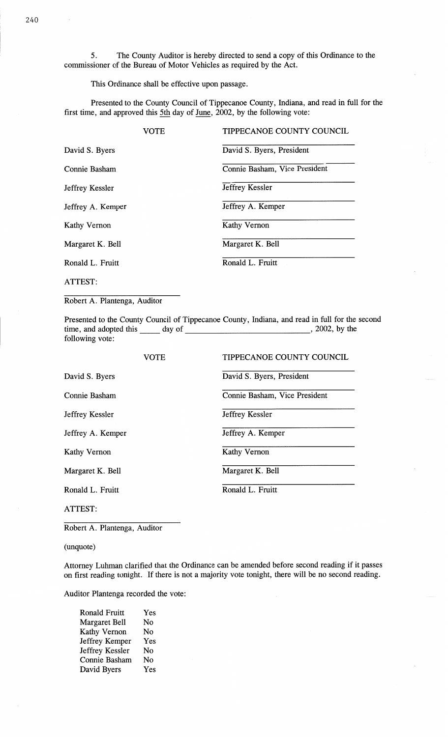5. The County Auditor is hereby directed to send **a** copy of this Ordinance to the **commissioner** of the Bureau of Motor Vehicles as required by the Act.

**This** Ordinance shall be effective **upon passage.** 

Presented to the County Council of Tippecanoe County, Indiana, and read in **full** for the first time, and approved this 5th day of June, 2002, by the following vote:

|                   | VOTE | TIPPECANOE COUNTY COUNCIL     |
|-------------------|------|-------------------------------|
| David S. Byers    |      | David S. Byers, President     |
| Connie Basham     |      | Connie Basham, Vice President |
| Jeffrey Kessler   |      | Jeffrey Kessler               |
| Jeffrey A. Kemper |      | Jeffrey A. Kemper             |
| Kathy Vernon      |      | <b>Kathy Vernon</b>           |
| Margaret K. Bell  |      | Margaret K. Bell              |
| Ronald L. Fruitt  |      | Ronald L. Fruitt              |
| ATTEST:           |      |                               |

Robert A. Plantenga, Auditor

Presented to the County Council of Tippecanoe County, Indiana, and read in full for the second time, and adopted this day of **,** 2002, by the following vote:

|                   | <b>VOTE</b> | TIPPECANOE COUNTY COUNCIL     |
|-------------------|-------------|-------------------------------|
| David S. Byers    |             | David S. Byers, President     |
| Connie Basham     |             | Connie Basham, Vice President |
| Jeffrey Kessler   |             | Jeffrey Kessler               |
| Jeffrey A. Kemper |             | Jeffrey A. Kemper             |
| Kathy Vernon      |             | <b>Kathy Vernon</b>           |
| Margaret K. Bell  |             | Margaret K. Bell              |
| Ronald L. Fruitt  |             | Ronald L. Fruitt              |
| ATTEST:           |             |                               |

Robert A. Plantenga, Auditor

(unquote)

Attorney **Luhman** clarified that the Ordinance can be amended before second reading if it passes on first reading tonight. If there is not a majority vote tonight, there will be no second reading.

Auditor Plantenga recorded the vote:

| <b>Ronald Fruitt</b> | Yes |
|----------------------|-----|
| <b>Margaret Bell</b> | No  |
| Kathy Vernon         | No  |
| Jeffrey Kemper       | Yes |
| Jeffrey Kessler      | No  |
| Connie Basham        | No  |
| David Byers          | Yes |